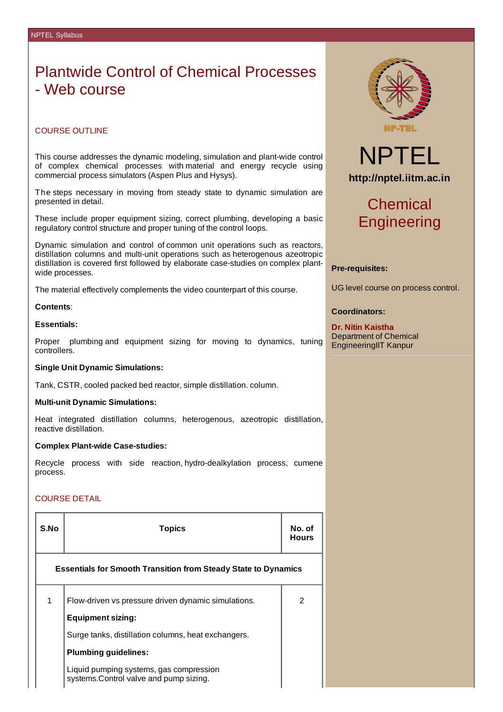# Plantwide Control of Chemical Processes - Web course

# COURSE OUTLINE

This course addresses the dynamic modeling, simulation and plant-wide control of complex chemical processes with material and energy recycle using commercial process simulators (Aspen Plus and Hysys).

The steps necessary in moving from steady state to dynamic simulation are presented in detail.

These include proper equipment sizing, correct plumbing, developing a basic regulatory control structure and proper tuning of the control loops.

Dynamic simulation and control of common unit operations such as reactors, distillation columns and multi-unit operations such as heterogenous azeotropic distillation is covered first followed by elaborate case-studies on complex plantwide processes.

The material effectively complements the video counterpart of this course.

# **Contents**:

# **Essentials:**

Proper plumbing and equipment sizing for moving to dynamics, tuning controllers.

# **Single Unit Dynamic Simulations:**

Tank, CSTR, cooled packed bed reactor, simple distillation. column.

# **Multi-unit Dynamic Simulations:**

Heat integrated distillation columns, heterogenous, azeotropic distillation, reactive distillation.

#### **Complex Plant-wide Case-studies:**

Recycle process with side reaction, hydro-dealkylation process, cumene process.

# COURSE DETAIL

| S.No                                                                  | <b>Topics</b>                                                                     |               |  |  |  |  |
|-----------------------------------------------------------------------|-----------------------------------------------------------------------------------|---------------|--|--|--|--|
| <b>Essentials for Smooth Transition from Steady State to Dynamics</b> |                                                                                   |               |  |  |  |  |
| 1                                                                     | Flow-driven vs pressure driven dynamic simulations.<br><b>Equipment sizing:</b>   | $\mathcal{P}$ |  |  |  |  |
|                                                                       | Surge tanks, distillation columns, heat exchangers.                               |               |  |  |  |  |
|                                                                       | <b>Plumbing guidelines:</b>                                                       |               |  |  |  |  |
|                                                                       | Liquid pumping systems, gas compression<br>systems.Control valve and pump sizing. |               |  |  |  |  |



# NPTEL **http://nptel.iitm.ac.in**

# Chemical **Engineering**

# **Pre-requisites:**

UG level course on process control.

# **Coordinators:**

**Dr. Nitin Kaistha** Department of Chemical EngineeringIIT Kanpur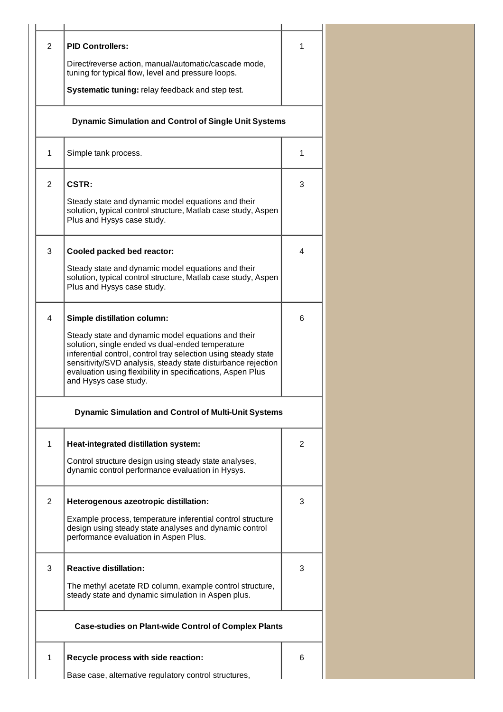| 2              | <b>PID Controllers:</b>                                                                                                                                                                                                                                                                                                         | 1 |
|----------------|---------------------------------------------------------------------------------------------------------------------------------------------------------------------------------------------------------------------------------------------------------------------------------------------------------------------------------|---|
|                | Direct/reverse action, manual/automatic/cascade mode,<br>tuning for typical flow, level and pressure loops.                                                                                                                                                                                                                     |   |
|                | Systematic tuning: relay feedback and step test.                                                                                                                                                                                                                                                                                |   |
|                | <b>Dynamic Simulation and Control of Single Unit Systems</b>                                                                                                                                                                                                                                                                    |   |
| $\mathbf{1}$   | Simple tank process.                                                                                                                                                                                                                                                                                                            | 1 |
| $\overline{2}$ | CSTR:                                                                                                                                                                                                                                                                                                                           | 3 |
|                | Steady state and dynamic model equations and their<br>solution, typical control structure, Matlab case study, Aspen<br>Plus and Hysys case study.                                                                                                                                                                               |   |
| 3              | Cooled packed bed reactor:                                                                                                                                                                                                                                                                                                      | 4 |
|                | Steady state and dynamic model equations and their<br>solution, typical control structure, Matlab case study, Aspen<br>Plus and Hysys case study.                                                                                                                                                                               |   |
| 4              | <b>Simple distillation column:</b>                                                                                                                                                                                                                                                                                              | 6 |
|                | Steady state and dynamic model equations and their<br>solution, single ended vs dual-ended temperature<br>inferential control, control tray selection using steady state<br>sensitivity/SVD analysis, steady state disturbance rejection<br>evaluation using flexibility in specifications, Aspen Plus<br>and Hysys case study. |   |
|                | <b>Dynamic Simulation and Control of Multi-Unit Systems</b>                                                                                                                                                                                                                                                                     |   |
| $\mathbf{1}$   | Heat-integrated distillation system:                                                                                                                                                                                                                                                                                            | 2 |
|                | Control structure design using steady state analyses,<br>dynamic control performance evaluation in Hysys.                                                                                                                                                                                                                       |   |
| 2              | Heterogenous azeotropic distillation:                                                                                                                                                                                                                                                                                           | 3 |
|                | Example process, temperature inferential control structure<br>design using steady state analyses and dynamic control<br>performance evaluation in Aspen Plus.                                                                                                                                                                   |   |
| 3              | <b>Reactive distillation:</b>                                                                                                                                                                                                                                                                                                   | 3 |
|                | The methyl acetate RD column, example control structure,<br>steady state and dynamic simulation in Aspen plus.                                                                                                                                                                                                                  |   |
|                | <b>Case-studies on Plant-wide Control of Complex Plants</b>                                                                                                                                                                                                                                                                     |   |
| $\mathbf{1}$   | Recycle process with side reaction:                                                                                                                                                                                                                                                                                             | 6 |
|                | Base case, alternative regulatory control structures,                                                                                                                                                                                                                                                                           |   |